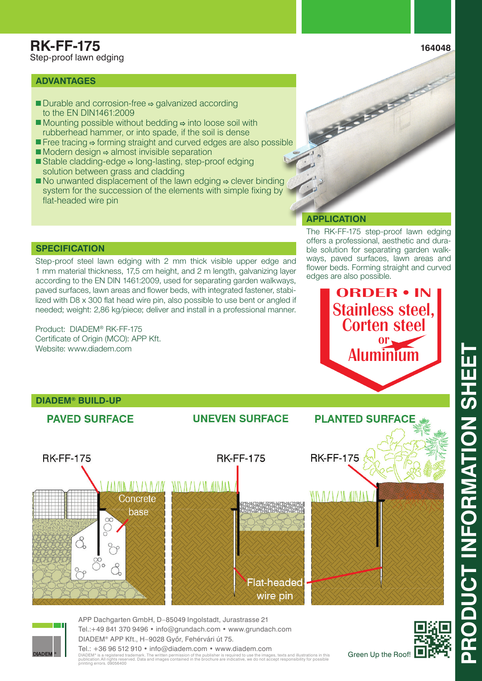### **ADVANTAGES**

- $\blacksquare$  Durable and corrosion-free  $\Leftrightarrow$  galvanized according to the EN DIN1461:2009
- $\blacksquare$  Mounting possible without bedding  $\Leftrightarrow$  into loose soil with rubberhead hammer, or into spade, if the soil is dense
- $\blacksquare$  Free tracing  $\Rightarrow$  forming straight and curved edges are also possible
- $\blacksquare$  Modern design  $\Leftrightarrow$  almost invisible separation
- Stable cladding-edge  $\Rightarrow$  long-lasting, step-proof edging solution between grass and cladding
- $\blacksquare$  No unwanted displacement of the lawn edging  $\Rightarrow$  clever binding system for the succession of the elements with simple fixing by flat-headed wire pin

### **APPLICATION**

The RK-FF-175 step-proof lawn edging offers a professional, aesthetic and durable solution for separating garden walkways, paved surfaces, lawn areas and flower beds. Forming straight and curved edges are also possible.

**CONTRACTOR** 

ORDER • IN

Stainless steel, Corten steel

 $or \sim$ 

Aluminium

**PLANTED SURFACE** 

#### **SPECIFICATION**

Step-proof steel lawn edging with 2 mm thick visible upper edge and 1 mm material thickness, 17,5 cm height, and 2 m length, galvanizing layer according to the EN DIN 1461:2009, used for separating garden walkways, paved surfaces, lawn areas and flower beds, with integrated fastener, stabilized with D8 x 300 flat head wire pin, also possible to use bent or angled if needed; weight: 2,86 kg/piece; deliver and install in a professional manner.

Product: DIADEM® RK-FF-175 Certificate of Origin (MCO): APP Kft. Website: www.diadem.com

# **DIADEM® BUILD-UP**

MADEM

# **PAVED SURFACE**



**UNEVEN SURFACE** 

Tel.:+49 841 370 9496 • info@grundach.com • www.grundach.com DIADEM® APP Kft., H–9028 Gyôr, Fehérvári út 75.

Tel.: +36 96 512 910 • info@diadem.com • www.diadem.com DIADEM® is a registered trademark. The written permission of the publisher is required to use the images, texts and illustrations in this<br>publication.All rights reserved. Data and images contained in the brochure are indic

Green Up the Roof!